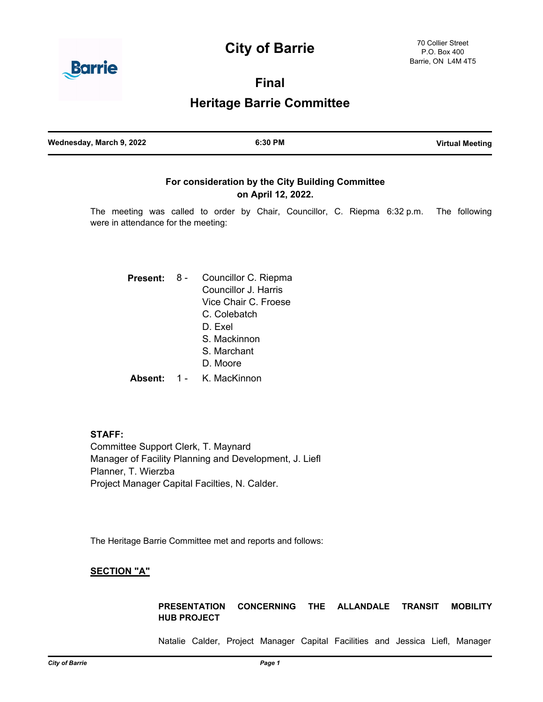# **City of Barrie**



**Final**

**Heritage Barrie Committee**

| Wednesday, March 9, 2022 | 6:30 PM | <b>Virtual Meeting</b> |
|--------------------------|---------|------------------------|
|                          |         |                        |

# **For consideration by the City Building Committee on April 12, 2022.**

The meeting was called to order by Chair, Councillor, C. Riepma 6:32 p.m. The following were in attendance for the meeting:

| Present:            | Councillor C. Riepma<br>Councillor J. Harris |
|---------------------|----------------------------------------------|
|                     |                                              |
|                     | Vice Chair C. Froese                         |
|                     | C. Colebatch                                 |
|                     | D. Exel                                      |
|                     | S Mackinnon                                  |
|                     | S Marchant                                   |
|                     | D. Moore                                     |
| Ahsent <sup>.</sup> | K. MacKinnon                                 |

**STAFF:** Committee Support Clerk, T. Maynard Manager of Facility Planning and Development, J. Liefl Planner, T. Wierzba Project Manager Capital Facilties, N. Calder.

The Heritage Barrie Committee met and reports and follows:

# **SECTION "A"**

**PRESENTATION CONCERNING THE ALLANDALE TRANSIT MOBILITY HUB PROJECT**

Natalie Calder, Project Manager Capital Facilities and Jessica Liefl, Manager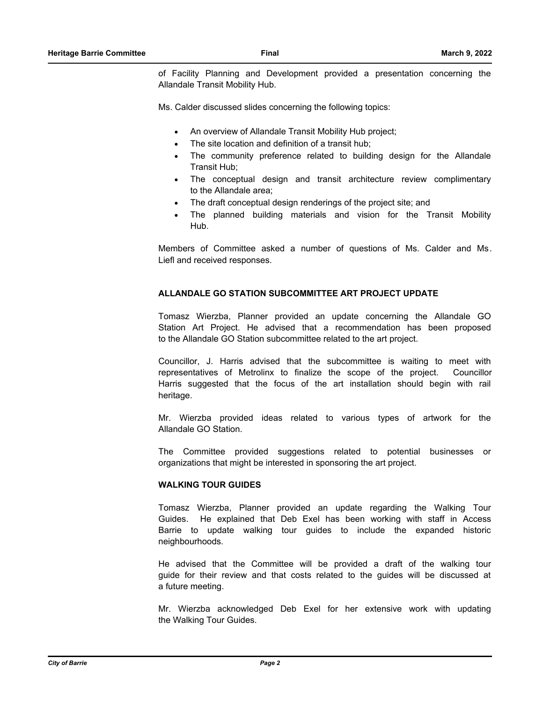of Facility Planning and Development provided a presentation concerning the Allandale Transit Mobility Hub.

Ms. Calder discussed slides concerning the following topics:

- An overview of Allandale Transit Mobility Hub project;
- The site location and definition of a transit hub;
- The community preference related to building design for the Allandale Transit Hub;
- The conceptual design and transit architecture review complimentary to the Allandale area;
- The draft conceptual design renderings of the project site; and
- The planned building materials and vision for the Transit Mobility Hub.

Members of Committee asked a number of questions of Ms. Calder and Ms. Liefl and received responses.

# **ALLANDALE GO STATION SUBCOMMITTEE ART PROJECT UPDATE**

Tomasz Wierzba, Planner provided an update concerning the Allandale GO Station Art Project. He advised that a recommendation has been proposed to the Allandale GO Station subcommittee related to the art project.

Councillor, J. Harris advised that the subcommittee is waiting to meet with representatives of Metrolinx to finalize the scope of the project. Councillor Harris suggested that the focus of the art installation should begin with rail heritage.

Mr. Wierzba provided ideas related to various types of artwork for the Allandale GO Station.

The Committee provided suggestions related to potential businesses or organizations that might be interested in sponsoring the art project.

## **WALKING TOUR GUIDES**

Tomasz Wierzba, Planner provided an update regarding the Walking Tour Guides. He explained that Deb Exel has been working with staff in Access Barrie to update walking tour guides to include the expanded historic neighbourhoods.

He advised that the Committee will be provided a draft of the walking tour guide for their review and that costs related to the guides will be discussed at a future meeting.

Mr. Wierzba acknowledged Deb Exel for her extensive work with updating the Walking Tour Guides.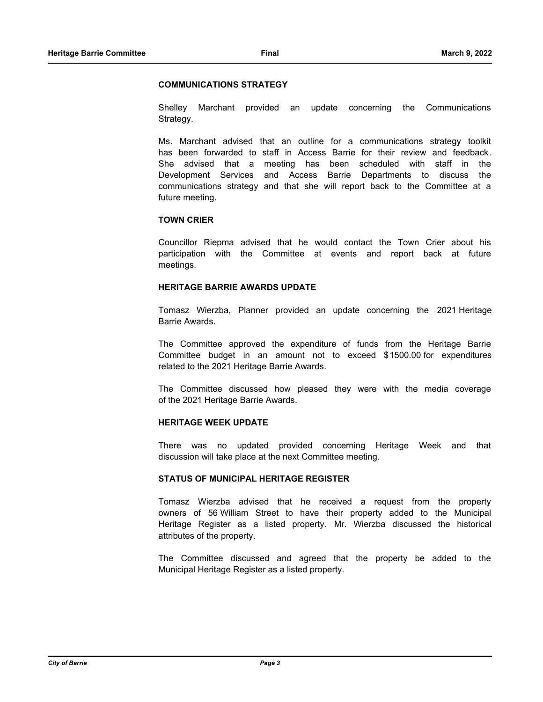## **COMMUNICATIONS STRATEGY**

Shelley Marchant provided an update concerning the Communications Strategy.

Ms. Marchant advised that an outline for a communications strategy toolkit has been forwarded to staff in Access Barrie for their review and feedback . She advised that a meeting has been scheduled with staff in the Development Services and Access Barrie Departments to discuss the communications strategy and that she will report back to the Committee at a future meeting.

# **TOWN CRIER**

Councillor Riepma advised that he would contact the Town Crier about his participation with the Committee at events and report back at future meetings.

# **HERITAGE BARRIE AWARDS UPDATE**

Tomasz Wierzba, Planner provided an update concerning the 2021 Heritage Barrie Awards.

The Committee approved the expenditure of funds from the Heritage Barrie Committee budget in an amount not to exceed \$1500.00 for expenditures related to the 2021 Heritage Barrie Awards.

The Committee discussed how pleased they were with the media coverage of the 2021 Heritage Barrie Awards.

## **HERITAGE WEEK UPDATE**

There was no updated provided concerning Heritage Week and that discussion will take place at the next Committee meeting.

# **STATUS OF MUNICIPAL HERITAGE REGISTER**

Tomasz Wierzba advised that he received a request from the property owners of 56 William Street to have their property added to the Municipal Heritage Register as a listed property. Mr. Wierzba discussed the historical attributes of the property.

The Committee discussed and agreed that the property be added to the Municipal Heritage Register as a listed property.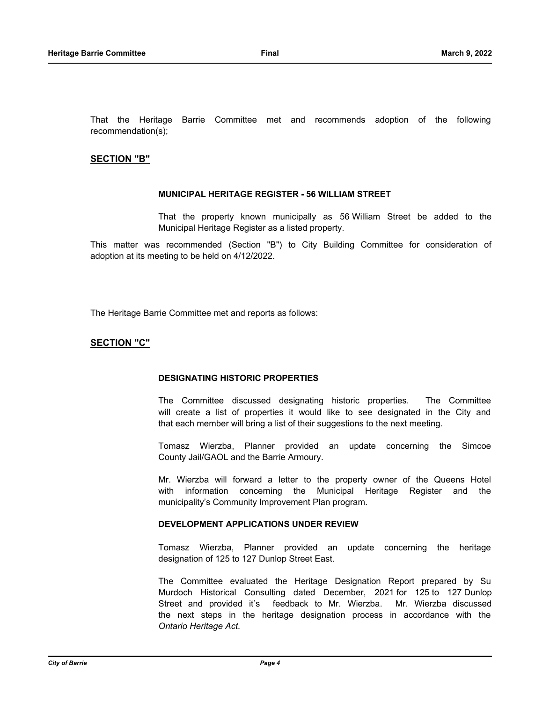That the Heritage Barrie Committee met and recommends adoption of the following recommendation(s);

# **SECTION "B"**

## **MUNICIPAL HERITAGE REGISTER - 56 WILLIAM STREET**

That the property known municipally as 56 William Street be added to the Municipal Heritage Register as a listed property.

This matter was recommended (Section "B") to City Building Committee for consideration of adoption at its meeting to be held on 4/12/2022.

The Heritage Barrie Committee met and reports as follows:

# **SECTION "C"**

### **DESIGNATING HISTORIC PROPERTIES**

The Committee discussed designating historic properties. The Committee will create a list of properties it would like to see designated in the City and that each member will bring a list of their suggestions to the next meeting.

Tomasz Wierzba, Planner provided an update concerning the Simcoe County Jail/GAOL and the Barrie Armoury.

Mr. Wierzba will forward a letter to the property owner of the Queens Hotel with information concerning the Municipal Heritage Register and the municipality's Community Improvement Plan program.

### **DEVELOPMENT APPLICATIONS UNDER REVIEW**

Tomasz Wierzba, Planner provided an update concerning the heritage designation of 125 to 127 Dunlop Street East.

The Committee evaluated the Heritage Designation Report prepared by Su Murdoch Historical Consulting dated December, 2021 for 125 to 127 Dunlop Street and provided it's feedback to Mr. Wierzba. Mr. Wierzba discussed the next steps in the heritage designation process in accordance with the *Ontario Heritage Act.*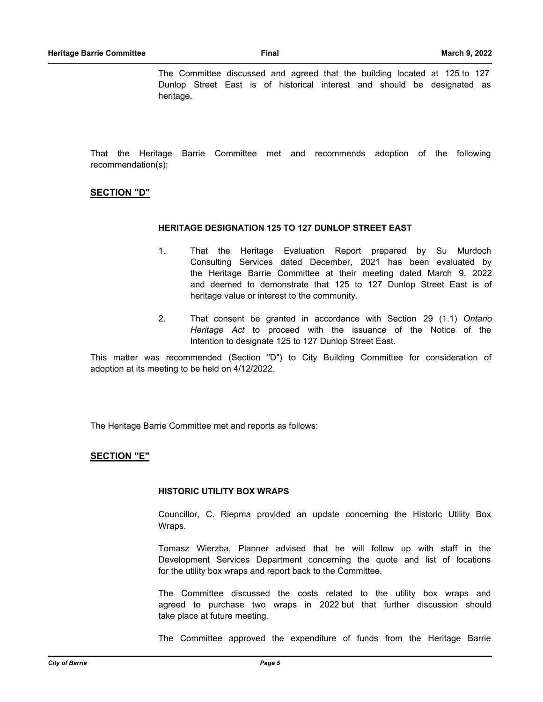The Committee discussed and agreed that the building located at 125 to 127 Dunlop Street East is of historical interest and should be designated as heritage.

That the Heritage Barrie Committee met and recommends adoption of the following recommendation(s);

## **SECTION "D"**

## **HERITAGE DESIGNATION 125 TO 127 DUNLOP STREET EAST**

- 1. That the Heritage Evaluation Report prepared by Su Murdoch Consulting Services dated December, 2021 has been evaluated by the Heritage Barrie Committee at their meeting dated March 9, 2022 and deemed to demonstrate that 125 to 127 Dunlop Street East is of heritage value or interest to the community.
- 2. That consent be granted in accordance with Section 29 (1.1) *Ontario Heritage Act* to proceed with the issuance of the Notice of the Intention to designate 125 to 127 Dunlop Street East.

This matter was recommended (Section "D") to City Building Committee for consideration of adoption at its meeting to be held on 4/12/2022.

The Heritage Barrie Committee met and reports as follows:

### **SECTION "E"**

#### **HISTORIC UTILITY BOX WRAPS**

Councillor, C. Riepma provided an update concerning the Historic Utility Box Wraps.

Tomasz Wierzba, Planner advised that he will follow up with staff in the Development Services Department concerning the quote and list of locations for the utility box wraps and report back to the Committee.

The Committee discussed the costs related to the utility box wraps and agreed to purchase two wraps in 2022 but that further discussion should take place at future meeting.

The Committee approved the expenditure of funds from the Heritage Barrie